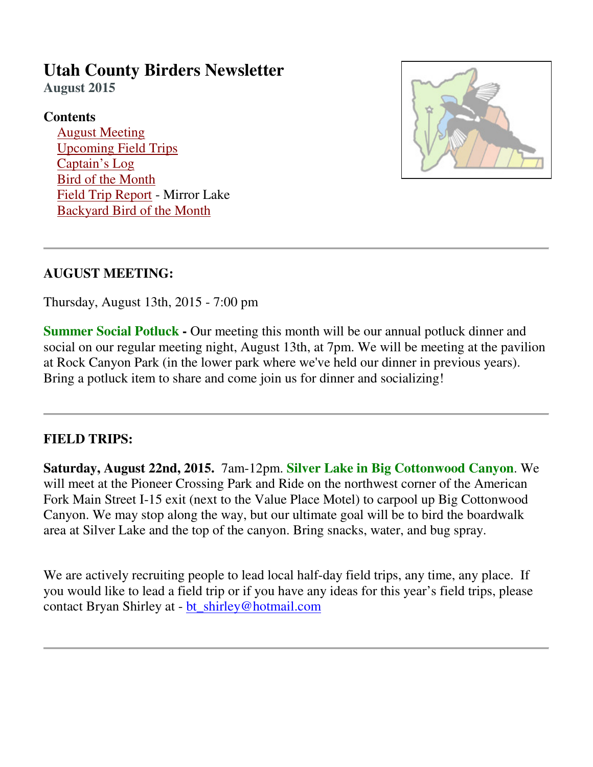# **Utah County Birders Newsletter**

**August 2015**

# **Contents**

 August Meeting Upcoming Field Trips Captain's Log Bird of the Month Field Trip Report - Mirror Lake Backyard Bird of the Month



# **AUGUST MEETING:**

Thursday, August 13th, 2015 - 7:00 pm

**Summer Social Potluck -** Our meeting this month will be our annual potluck dinner and social on our regular meeting night, August 13th, at 7pm. We will be meeting at the pavilion at Rock Canyon Park (in the lower park where we've held our dinner in previous years). Bring a potluck item to share and come join us for dinner and socializing!

# **FIELD TRIPS:**

**Saturday, August 22nd, 2015.** 7am-12pm. **Silver Lake in Big Cottonwood Canyon**. We will meet at the Pioneer Crossing Park and Ride on the northwest corner of the American Fork Main Street I-15 exit (next to the Value Place Motel) to carpool up Big Cottonwood Canyon. We may stop along the way, but our ultimate goal will be to bird the boardwalk area at Silver Lake and the top of the canyon. Bring snacks, water, and bug spray.

We are actively recruiting people to lead local half-day field trips, any time, any place. If you would like to lead a field trip or if you have any ideas for this year's field trips, please contact Bryan Shirley at - bt\_shirley@hotmail.com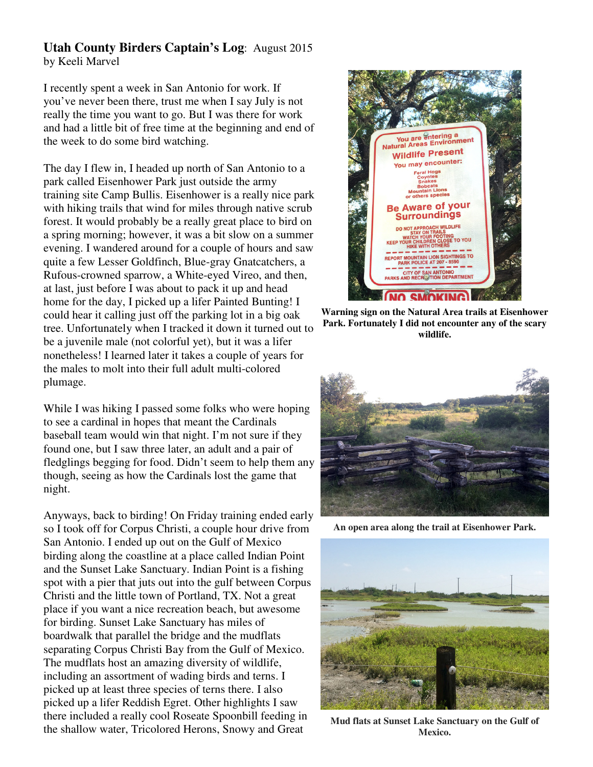## **Utah County Birders Captain's Log**: August 2015 by Keeli Marvel

I recently spent a week in San Antonio for work. If you've never been there, trust me when I say July is not really the time you want to go. But I was there for work and had a little bit of free time at the beginning and end of the week to do some bird watching.

The day I flew in, I headed up north of San Antonio to a park called Eisenhower Park just outside the army training site Camp Bullis. Eisenhower is a really nice park with hiking trails that wind for miles through native scrub forest. It would probably be a really great place to bird on a spring morning; however, it was a bit slow on a summer evening. I wandered around for a couple of hours and saw quite a few Lesser Goldfinch, Blue-gray Gnatcatchers, a Rufous-crowned sparrow, a White-eyed Vireo, and then, at last, just before I was about to pack it up and head home for the day, I picked up a lifer Painted Bunting! I could hear it calling just off the parking lot in a big oak tree. Unfortunately when I tracked it down it turned out to be a juvenile male (not colorful yet), but it was a lifer nonetheless! I learned later it takes a couple of years for the males to molt into their full adult multi-colored plumage.

While I was hiking I passed some folks who were hoping to see a cardinal in hopes that meant the Cardinals baseball team would win that night. I'm not sure if they found one, but I saw three later, an adult and a pair of fledglings begging for food. Didn't seem to help them any though, seeing as how the Cardinals lost the game that night.

Anyways, back to birding! On Friday training ended early so I took off for Corpus Christi, a couple hour drive from San Antonio. I ended up out on the Gulf of Mexico birding along the coastline at a place called Indian Point and the Sunset Lake Sanctuary. Indian Point is a fishing spot with a pier that juts out into the gulf between Corpus Christi and the little town of Portland, TX. Not a great place if you want a nice recreation beach, but awesome for birding. Sunset Lake Sanctuary has miles of boardwalk that parallel the bridge and the mudflats separating Corpus Christi Bay from the Gulf of Mexico. The mudflats host an amazing diversity of wildlife, including an assortment of wading birds and terns. I picked up at least three species of terns there. I also picked up a lifer Reddish Egret. Other highlights I saw there included a really cool Roseate Spoonbill feeding in the shallow water, Tricolored Herons, Snowy and Great



**Warning sign on the Natural Area trails at Eisenhower Park. Fortunately I did not encounter any of the scary wildlife.**



**An open area along the trail at Eisenhower Park.**



**Mud flats at Sunset Lake Sanctuary on the Gulf of Mexico.**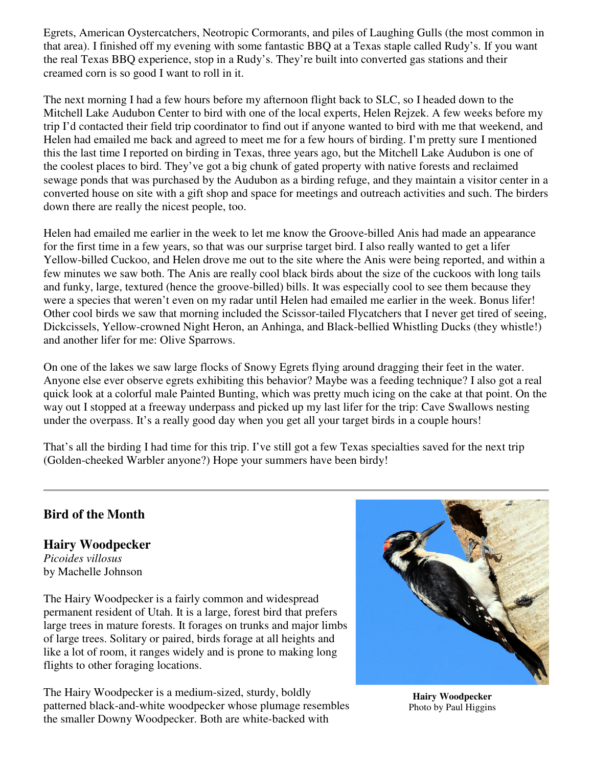Egrets, American Oystercatchers, Neotropic Cormorants, and piles of Laughing Gulls (the most common in that area). I finished off my evening with some fantastic BBQ at a Texas staple called Rudy's. If you want the real Texas BBQ experience, stop in a Rudy's. They're built into converted gas stations and their creamed corn is so good I want to roll in it.

The next morning I had a few hours before my afternoon flight back to SLC, so I headed down to the Mitchell Lake Audubon Center to bird with one of the local experts, Helen Rejzek. A few weeks before my trip I'd contacted their field trip coordinator to find out if anyone wanted to bird with me that weekend, and Helen had emailed me back and agreed to meet me for a few hours of birding. I'm pretty sure I mentioned this the last time I reported on birding in Texas, three years ago, but the Mitchell Lake Audubon is one of the coolest places to bird. They've got a big chunk of gated property with native forests and reclaimed sewage ponds that was purchased by the Audubon as a birding refuge, and they maintain a visitor center in a converted house on site with a gift shop and space for meetings and outreach activities and such. The birders down there are really the nicest people, too.

Helen had emailed me earlier in the week to let me know the Groove-billed Anis had made an appearance for the first time in a few years, so that was our surprise target bird. I also really wanted to get a lifer Yellow-billed Cuckoo, and Helen drove me out to the site where the Anis were being reported, and within a few minutes we saw both. The Anis are really cool black birds about the size of the cuckoos with long tails and funky, large, textured (hence the groove-billed) bills. It was especially cool to see them because they were a species that weren't even on my radar until Helen had emailed me earlier in the week. Bonus lifer! Other cool birds we saw that morning included the Scissor-tailed Flycatchers that I never get tired of seeing, Dickcissels, Yellow-crowned Night Heron, an Anhinga, and Black-bellied Whistling Ducks (they whistle!) and another lifer for me: Olive Sparrows.

On one of the lakes we saw large flocks of Snowy Egrets flying around dragging their feet in the water. Anyone else ever observe egrets exhibiting this behavior? Maybe was a feeding technique? I also got a real quick look at a colorful male Painted Bunting, which was pretty much icing on the cake at that point. On the way out I stopped at a freeway underpass and picked up my last lifer for the trip: Cave Swallows nesting under the overpass. It's a really good day when you get all your target birds in a couple hours!

That's all the birding I had time for this trip. I've still got a few Texas specialties saved for the next trip (Golden-cheeked Warbler anyone?) Hope your summers have been birdy!

## **Bird of the Month**

**Hairy Woodpecker** *Picoides villosus*  by Machelle Johnson

The Hairy Woodpecker is a fairly common and widespread permanent resident of Utah. It is a large, forest bird that prefers large trees in mature forests. It forages on trunks and major limbs of large trees. Solitary or paired, birds forage at all heights and like a lot of room, it ranges widely and is prone to making long flights to other foraging locations.

The Hairy Woodpecker is a medium-sized, sturdy, boldly patterned black-and-white woodpecker whose plumage resembles the smaller Downy Woodpecker. Both are white-backed with



**Hairy Woodpecker**  Photo by Paul Higgins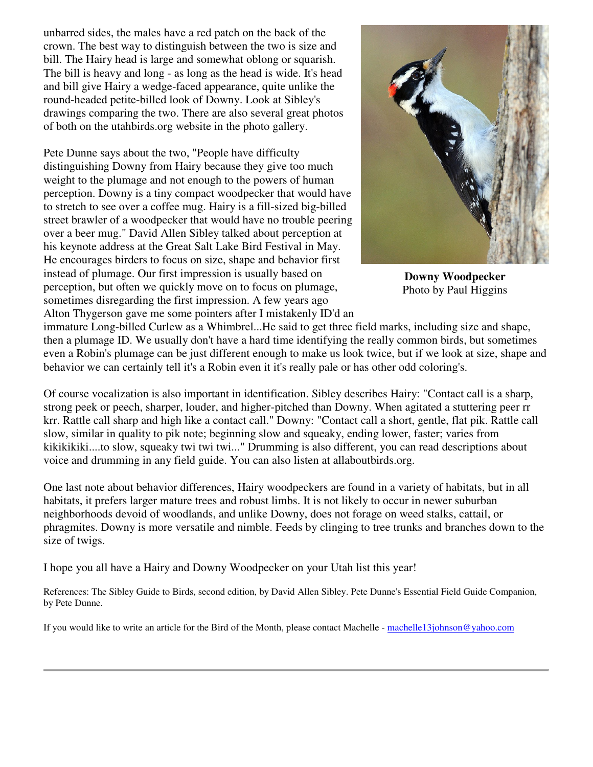unbarred sides, the males have a red patch on the back of the crown. The best way to distinguish between the two is size and bill. The Hairy head is large and somewhat oblong or squarish. The bill is heavy and long - as long as the head is wide. It's head and bill give Hairy a wedge-faced appearance, quite unlike the round-headed petite-billed look of Downy. Look at Sibley's drawings comparing the two. There are also several great photos of both on the utahbirds.org website in the photo gallery.

Pete Dunne says about the two, "People have difficulty distinguishing Downy from Hairy because they give too much weight to the plumage and not enough to the powers of human perception. Downy is a tiny compact woodpecker that would have to stretch to see over a coffee mug. Hairy is a fill-sized big-billed street brawler of a woodpecker that would have no trouble peering over a beer mug." David Allen Sibley talked about perception at his keynote address at the Great Salt Lake Bird Festival in May. He encourages birders to focus on size, shape and behavior first instead of plumage. Our first impression is usually based on perception, but often we quickly move on to focus on plumage, sometimes disregarding the first impression. A few years ago Alton Thygerson gave me some pointers after I mistakenly ID'd an



**Downy Woodpecker**  Photo by Paul Higgins

immature Long-billed Curlew as a Whimbrel...He said to get three field marks, including size and shape, then a plumage ID. We usually don't have a hard time identifying the really common birds, but sometimes even a Robin's plumage can be just different enough to make us look twice, but if we look at size, shape and behavior we can certainly tell it's a Robin even it it's really pale or has other odd coloring's.

Of course vocalization is also important in identification. Sibley describes Hairy: "Contact call is a sharp, strong peek or peech, sharper, louder, and higher-pitched than Downy. When agitated a stuttering peer rr krr. Rattle call sharp and high like a contact call." Downy: "Contact call a short, gentle, flat pik. Rattle call slow, similar in quality to pik note; beginning slow and squeaky, ending lower, faster; varies from kikikikiki....to slow, squeaky twi twi twi..." Drumming is also different, you can read descriptions about voice and drumming in any field guide. You can also listen at allaboutbirds.org.

One last note about behavior differences, Hairy woodpeckers are found in a variety of habitats, but in all habitats, it prefers larger mature trees and robust limbs. It is not likely to occur in newer suburban neighborhoods devoid of woodlands, and unlike Downy, does not forage on weed stalks, cattail, or phragmites. Downy is more versatile and nimble. Feeds by clinging to tree trunks and branches down to the size of twigs.

I hope you all have a Hairy and Downy Woodpecker on your Utah list this year!

References: The Sibley Guide to Birds, second edition, by David Allen Sibley. Pete Dunne's Essential Field Guide Companion, by Pete Dunne.

If you would like to write an article for the Bird of the Month, please contact Machelle - machelle13johnson@yahoo.com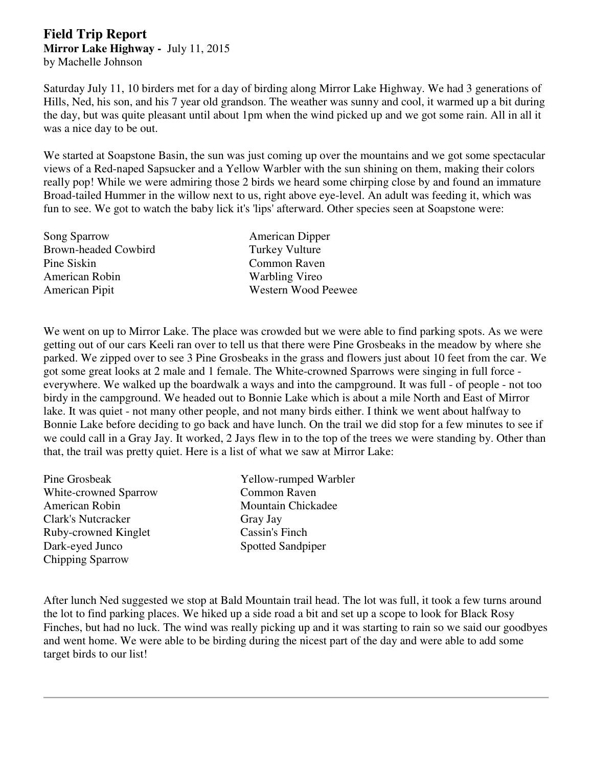## **Field Trip Report Mirror Lake Highway -** July 11, 2015 by Machelle Johnson

Saturday July 11, 10 birders met for a day of birding along Mirror Lake Highway. We had 3 generations of Hills, Ned, his son, and his 7 year old grandson. The weather was sunny and cool, it warmed up a bit during the day, but was quite pleasant until about 1pm when the wind picked up and we got some rain. All in all it was a nice day to be out.

We started at Soapstone Basin, the sun was just coming up over the mountains and we got some spectacular views of a Red-naped Sapsucker and a Yellow Warbler with the sun shining on them, making their colors really pop! While we were admiring those 2 birds we heard some chirping close by and found an immature Broad-tailed Hummer in the willow next to us, right above eye-level. An adult was feeding it, which was fun to see. We got to watch the baby lick it's 'lips' afterward. Other species seen at Soapstone were:

| Song Sparrow         | <b>American Dipper</b> |
|----------------------|------------------------|
| Brown-headed Cowbird | <b>Turkey Vulture</b>  |
| Pine Siskin          | <b>Common Raven</b>    |
| American Robin       | Warbling Vireo         |
| American Pipit       | Western Wood Peewee    |

We went on up to Mirror Lake. The place was crowded but we were able to find parking spots. As we were getting out of our cars Keeli ran over to tell us that there were Pine Grosbeaks in the meadow by where she parked. We zipped over to see 3 Pine Grosbeaks in the grass and flowers just about 10 feet from the car. We got some great looks at 2 male and 1 female. The White-crowned Sparrows were singing in full force everywhere. We walked up the boardwalk a ways and into the campground. It was full - of people - not too birdy in the campground. We headed out to Bonnie Lake which is about a mile North and East of Mirror lake. It was quiet - not many other people, and not many birds either. I think we went about halfway to Bonnie Lake before deciding to go back and have lunch. On the trail we did stop for a few minutes to see if we could call in a Gray Jay. It worked, 2 Jays flew in to the top of the trees we were standing by. Other than that, the trail was pretty quiet. Here is a list of what we saw at Mirror Lake:

| Pine Grosbeak           | Yellow-rumped Warbler    |
|-------------------------|--------------------------|
| White-crowned Sparrow   | <b>Common Raven</b>      |
| American Robin          | Mountain Chickadee       |
| Clark's Nutcracker      | Gray Jay                 |
| Ruby-crowned Kinglet    | Cassin's Finch           |
| Dark-eyed Junco         | <b>Spotted Sandpiper</b> |
| <b>Chipping Sparrow</b> |                          |

After lunch Ned suggested we stop at Bald Mountain trail head. The lot was full, it took a few turns around the lot to find parking places. We hiked up a side road a bit and set up a scope to look for Black Rosy Finches, but had no luck. The wind was really picking up and it was starting to rain so we said our goodbyes and went home. We were able to be birding during the nicest part of the day and were able to add some target birds to our list!